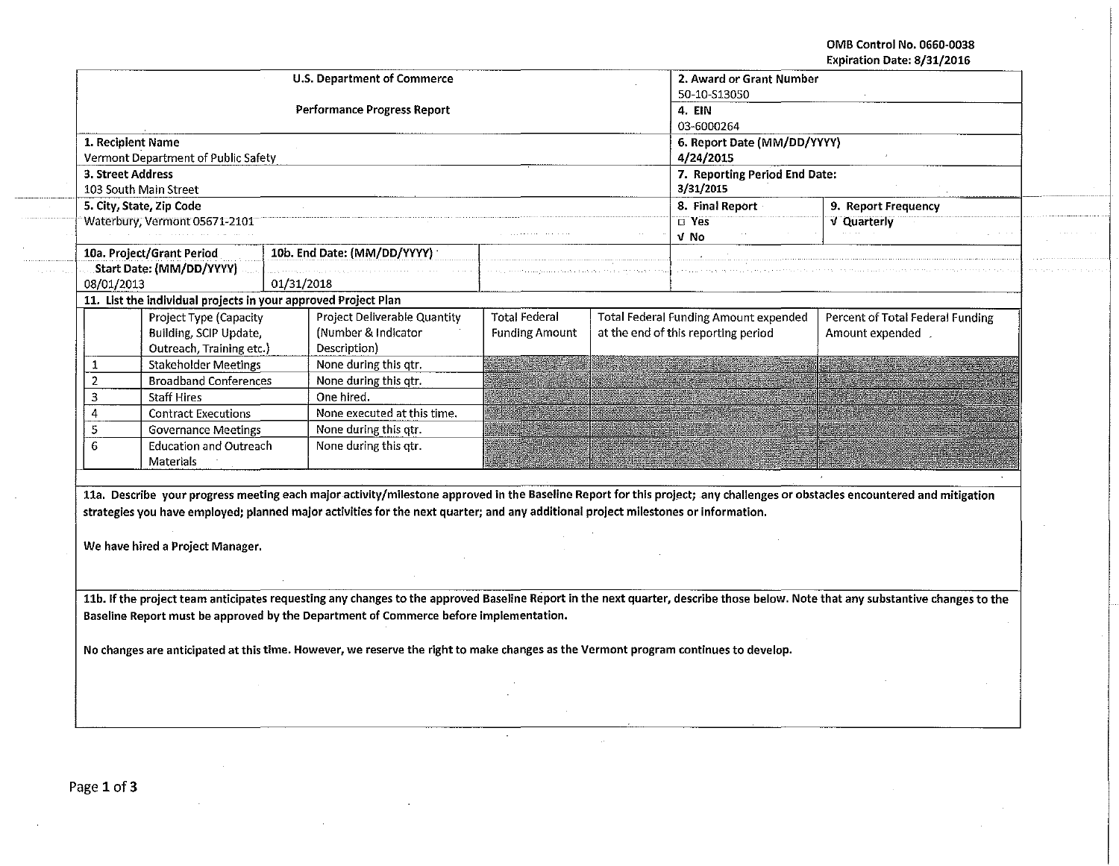OMB Control No. 0660·0038 Expiration Date: 8/31/2016

 $\sim$ 

|                          |                                            | Performance Progress Report                                                                                                                                                                                                                                                                                                                                                                                     |                       | 50-10-S13050<br>4 EIN<br>03-6000264        |                                              |                                  |  |
|--------------------------|--------------------------------------------|-----------------------------------------------------------------------------------------------------------------------------------------------------------------------------------------------------------------------------------------------------------------------------------------------------------------------------------------------------------------------------------------------------------------|-----------------------|--------------------------------------------|----------------------------------------------|----------------------------------|--|
|                          | 1. Recipient Name                          |                                                                                                                                                                                                                                                                                                                                                                                                                 |                       | 6. Report Date (MM/DD/YYYY)                |                                              |                                  |  |
|                          | Vermont Department of Public Safety        |                                                                                                                                                                                                                                                                                                                                                                                                                 |                       | 4/24/2015                                  |                                              |                                  |  |
|                          | 3. Street Address<br>103 South Main Street |                                                                                                                                                                                                                                                                                                                                                                                                                 |                       | 7. Reporting Period End Date:<br>3/31/2015 |                                              |                                  |  |
|                          | 5. City, State, Zip Code                   |                                                                                                                                                                                                                                                                                                                                                                                                                 |                       |                                            | 8. Final Report                              | 9. Report Frequency              |  |
|                          | Waterbury, Vermont 05671-2101              |                                                                                                                                                                                                                                                                                                                                                                                                                 |                       | $\overline{D}$ Yes<br>V No                 |                                              | V Quarterly                      |  |
|                          | 10a. Project/Grant Period                  | 10b. End Date: (MM/DD/YYYY)                                                                                                                                                                                                                                                                                                                                                                                     |                       |                                            |                                              |                                  |  |
| Start Date: (MM/DD/YYYY) |                                            |                                                                                                                                                                                                                                                                                                                                                                                                                 |                       |                                            |                                              |                                  |  |
| 08/01/2013               |                                            | 01/31/2018<br>11. List the individual projects in your approved Project Plan                                                                                                                                                                                                                                                                                                                                    |                       |                                            |                                              |                                  |  |
|                          | Project Type (Capacity                     | Project Deliverable Quantity                                                                                                                                                                                                                                                                                                                                                                                    | <b>Total Federal</b>  |                                            | <b>Total Federal Funding Amount expended</b> | Percent of Total Federal Funding |  |
|                          | Building, SCIP Update,                     | (Number & Indicator                                                                                                                                                                                                                                                                                                                                                                                             | <b>Funding Amount</b> |                                            | at the end of this reporting period          | Amount expended                  |  |
|                          | Outreach, Training etc.)                   | Description)                                                                                                                                                                                                                                                                                                                                                                                                    |                       |                                            |                                              |                                  |  |
| 1                        | <b>Stakeholder Meetings</b>                | None during this qtr.                                                                                                                                                                                                                                                                                                                                                                                           |                       |                                            |                                              |                                  |  |
| $\overline{2}$           | <b>Broadband Conferences</b>               | None during this qtr.                                                                                                                                                                                                                                                                                                                                                                                           |                       |                                            |                                              |                                  |  |
| 3                        | <b>Staff Hires</b>                         | One hired.                                                                                                                                                                                                                                                                                                                                                                                                      |                       |                                            |                                              |                                  |  |
| 4                        | <b>Contract Executions</b>                 | None executed at this time.                                                                                                                                                                                                                                                                                                                                                                                     |                       |                                            |                                              |                                  |  |
| 5                        | <b>Governance Meetings</b>                 | None during this atr.                                                                                                                                                                                                                                                                                                                                                                                           |                       |                                            |                                              |                                  |  |
| 6                        | Education and Outreach                     | None during this otr.                                                                                                                                                                                                                                                                                                                                                                                           |                       |                                            |                                              |                                  |  |
|                          | <b>Materials</b>                           |                                                                                                                                                                                                                                                                                                                                                                                                                 |                       |                                            |                                              |                                  |  |
|                          | We have hired a Project Manager.           | 11a. Describe your progress meeting each major activity/milestone approved in the Baseline Report for this project; any challenges or obstacles encountered and mitigation<br>strategies you have employed; planned major activities for the next quarter; and any additional project milestones or information.                                                                                                |                       |                                            |                                              |                                  |  |
|                          |                                            | 11b. If the project team anticipates requesting any changes to the approved Baseline Report in the next quarter, describe those below. Note that any substantive changes to the<br>Baseline Report must be approved by the Department of Commerce before implementation.<br>No changes are anticipated at this time. However, we reserve the right to make changes as the Vermont program continues to develop. |                       |                                            |                                              |                                  |  |
|                          |                                            |                                                                                                                                                                                                                                                                                                                                                                                                                 |                       |                                            |                                              |                                  |  |
|                          |                                            |                                                                                                                                                                                                                                                                                                                                                                                                                 |                       |                                            |                                              |                                  |  |

 $\sim$ 

 $\lambda$ 

 $\sim$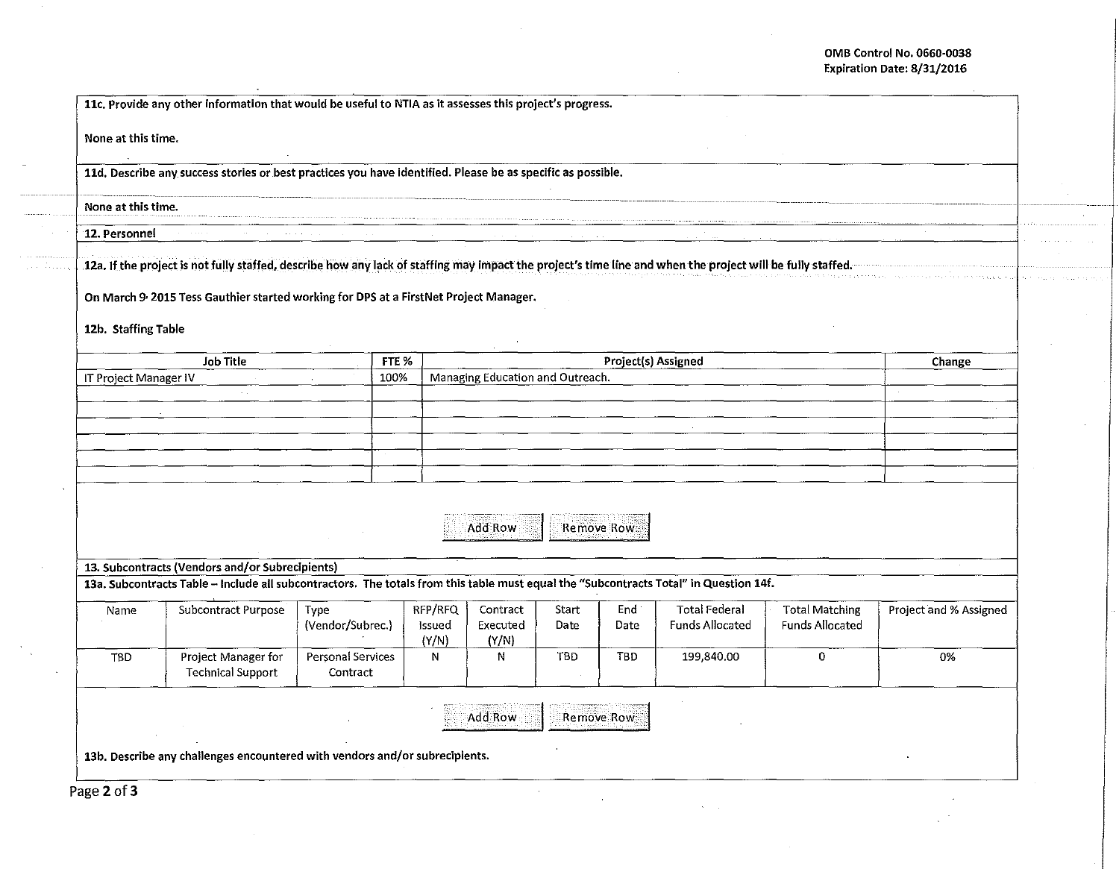## OMB Control No. 0660-0038 Expiration Date: 8/31/2016

 $\sim 10^{-1}$ 

e nomen som en en en

| None at this time.    |                                                                                                                                                                                                                                                                 |                                      |                 |                                                         |       |            |                        |                        |                        |  |
|-----------------------|-----------------------------------------------------------------------------------------------------------------------------------------------------------------------------------------------------------------------------------------------------------------|--------------------------------------|-----------------|---------------------------------------------------------|-------|------------|------------------------|------------------------|------------------------|--|
|                       | 11d. Describe any success stories or best practices you have identified. Please be as specific as possible.                                                                                                                                                     |                                      |                 |                                                         |       |            |                        |                        |                        |  |
| None at this time.    |                                                                                                                                                                                                                                                                 |                                      |                 |                                                         |       |            |                        |                        |                        |  |
| 12. Personnel         |                                                                                                                                                                                                                                                                 |                                      |                 |                                                         |       |            |                        |                        |                        |  |
| 12b. Staffing Table   | 12a. If the project is not fully staffed, describe how any lack of staffing may impact the project's time line and when the project will be fully staffed.<br>On March 9 <sup>,</sup> 2015 Tess Gauthier started working for DPS at a FirstNet Project Manager. |                                      |                 |                                                         |       |            |                        |                        |                        |  |
|                       | <b>Job Title</b>                                                                                                                                                                                                                                                | FTE %                                |                 |                                                         |       |            |                        |                        | Change                 |  |
| IT Project Manager IV |                                                                                                                                                                                                                                                                 |                                      | 100%            | Project(s) Assigned<br>Managing Education and Outreach. |       |            |                        |                        |                        |  |
|                       | $\sim$ .                                                                                                                                                                                                                                                        |                                      |                 |                                                         |       |            |                        |                        |                        |  |
|                       |                                                                                                                                                                                                                                                                 |                                      |                 |                                                         |       |            |                        |                        |                        |  |
|                       |                                                                                                                                                                                                                                                                 |                                      |                 |                                                         |       |            |                        |                        |                        |  |
|                       |                                                                                                                                                                                                                                                                 |                                      |                 |                                                         |       |            |                        |                        |                        |  |
|                       |                                                                                                                                                                                                                                                                 |                                      |                 |                                                         |       |            |                        |                        |                        |  |
|                       |                                                                                                                                                                                                                                                                 |                                      |                 | Add Row                                                 |       | Remove Row |                        |                        |                        |  |
|                       | 13. Subcontracts (Vendors and/or Subrecipients)                                                                                                                                                                                                                 |                                      |                 |                                                         |       |            |                        |                        |                        |  |
|                       | 13a. Subcontracts Table - Include all subcontractors. The totals from this table must equal the "Subcontracts Total" in Question 14f.                                                                                                                           |                                      |                 |                                                         |       |            |                        |                        |                        |  |
| Name                  | Subcontract Purpose                                                                                                                                                                                                                                             | Type                                 | RFP/RFQ         | Contract                                                | Start | End        | <b>Total Federal</b>   | <b>Total Matching</b>  | Project and % Assigned |  |
|                       |                                                                                                                                                                                                                                                                 | (Vendor/Subrec.)                     | Issued<br>(Y/N) | Executed<br>(Y/N)                                       | Date  | Date       | <b>Funds Allocated</b> | <b>Funds Allocated</b> |                        |  |
| <b>TBD</b>            | Project Manager for<br><b>Technical Support</b>                                                                                                                                                                                                                 | <b>Personal Services</b><br>Contract | N               | Ν                                                       | TBD.  | TBD        | 199,840.00             | 0                      | 0%                     |  |
|                       |                                                                                                                                                                                                                                                                 |                                      |                 | Add Row                                                 |       | Remove Row |                        |                        |                        |  |
|                       |                                                                                                                                                                                                                                                                 |                                      |                 |                                                         |       |            |                        |                        |                        |  |

 $\sim$ 

 $\mathcal{A}=\mathcal{A}$  .

Page 2 of 3